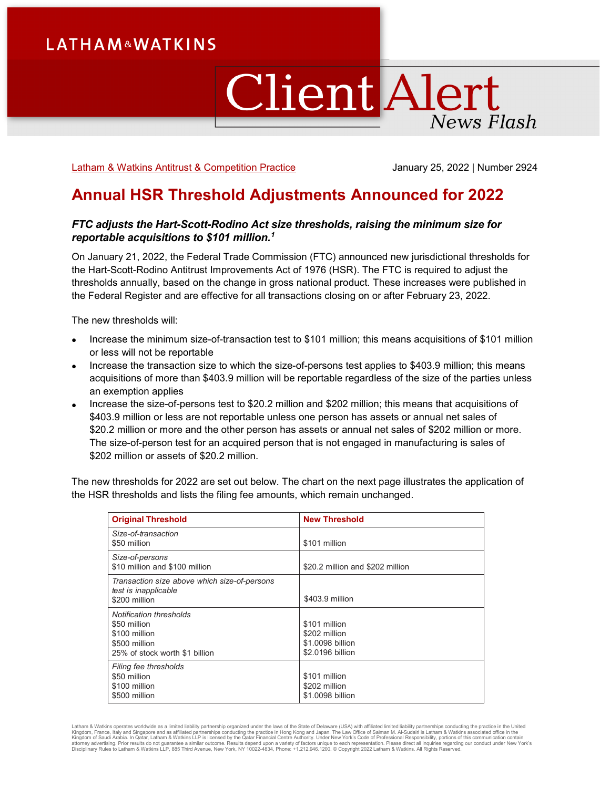# **LATHAM&WATKINS**

# **Client Alert News Flash**

[Latham & Watkins Antitrust & Competition Practice](https://www.lw.com/practices/AntitrustAndCompetition) **Gott Competition 2024** January 25, 2022 | Number 2924

# **Annual HSR Threshold Adjustments Announced for 2022**

# *FTC adjusts the Hart-Scott-Rodino Act size thresholds, raising the minimum size for reportable acquisitions to \$101 million. [1](#page-3-0)*

On January 21, 2022, the Federal Trade Commission (FTC) announced new jurisdictional thresholds for the Hart-Scott-Rodino Antitrust Improvements Act of 1976 (HSR). The FTC is required to adjust the thresholds annually, based on the change in gross national product. These increases were published in the Federal Register and are effective for all transactions closing on or after February 23, 2022.

The new thresholds will:

- Increase the minimum size-of-transaction test to \$101 million; this means acquisitions of \$101 million or less will not be reportable
- Increase the transaction size to which the size-of-persons test applies to \$403.9 million; this means acquisitions of more than \$403.9 million will be reportable regardless of the size of the parties unless an exemption applies
- Increase the size-of-persons test to \$20.2 million and \$202 million; this means that acquisitions of \$403.9 million or less are not reportable unless one person has assets or annual net sales of \$20.2 million or more and the other person has assets or annual net sales of \$202 million or more. The size-of-person test for an acquired person that is not engaged in manufacturing is sales of \$202 million or assets of \$20.2 million.

The new thresholds for 2022 are set out below. The chart on the next page illustrates the application of the HSR thresholds and lists the filing fee amounts, which remain unchanged.

| <b>Original Threshold</b>                                                                                   | <b>New Threshold</b>                                                   |
|-------------------------------------------------------------------------------------------------------------|------------------------------------------------------------------------|
| Size-of-transaction<br>\$50 million                                                                         | \$101 million                                                          |
| Size-of-persons<br>\$10 million and \$100 million                                                           | \$20.2 million and \$202 million                                       |
| Transaction size above which size-of-persons<br>test is inapplicable<br>\$200 million                       | \$403.9 million                                                        |
| Notification thresholds<br>\$50 million<br>\$100 million<br>\$500 million<br>25% of stock worth \$1 billion | \$101 million<br>\$202 million<br>\$1,0098 billion<br>\$2.0196 billion |
| Filing fee thresholds<br>\$50 million<br>\$100 million<br>\$500 million                                     | \$101 million<br>\$202 million<br>\$1,0098 billion                     |

Latham & Watkins operates worldwide as a limited liability partnership organized under the laws of the State of Delaware (USA) with affiliated limited liability partnerships conducting the practice in the United Kingdom, France, Italy and Singapore and as affiliated partnerships conducting the practice in Hong Kong and Japan. The Law Office of Salman M. Al-Sudairi is Latham & Watkins associated office in the<br>Kingdom of Saudi Arabi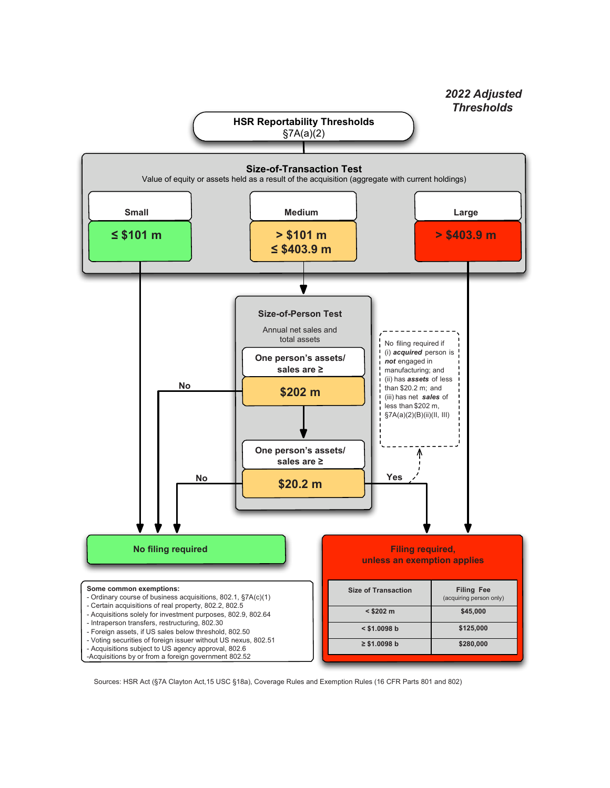

Sources: HSR Act (§7A Clayton Act,15 USC §18a), Coverage Rules and Exemption Rules (16 CFR Parts 801 and 802)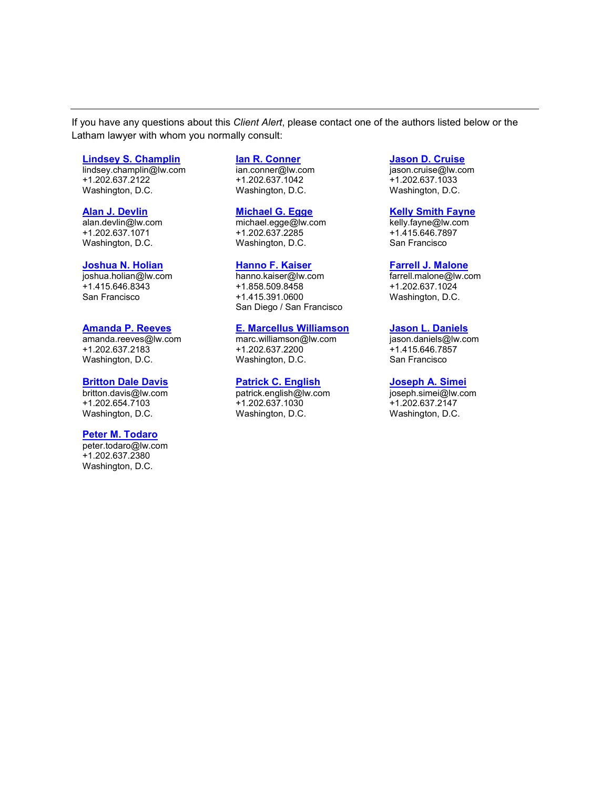If you have any questions about this *Client Alert*, please contact one of the authors listed below or the Latham lawyer with whom you normally consult:

#### **[Lindsey S. Champlin](https://www.lw.com/people/LindseySChamplin)**

lindsey.champlin@lw.com +1.202.637.2122 Washington, D.C.

#### **[Alan J. Devlin](https://www.lw.com/people/alan-devlin)**

alan.devlin@lw.com +1.202.637.1071 Washington, D.C.

#### **[Joshua N. Holian](https://www.lw.com/people/joshua-holian)**

joshua.holian@lw.com +1.415.646.8343 San Francisco

## **[Amanda P. Reeves](https://www.lw.com/people/amanda-reeves)**

amanda.reeves@lw.com +1.202.637.2183 Washington, D.C.

#### **[Britton Dale Davis](https://www.lw.com/people/britton-davis)**

britton.davis@lw.com +1.202.654.7103 Washington, D.C.

#### **[Peter M. Todaro](https://www.lw.com/people/peter-todaro)**

peter.todaro@lw.com +1.202.637.2380 Washington, D.C.

# **[Ian R. Conner](https://www.lw.com/people/ian-conner)**

ian.conner@lw.com +1.202.637.1042 Washington, D.C.

#### **[Michael G. Egge](https://www.lw.com/people/michael-egge)**

michael.egge@lw.com +1.202.637.2285 Washington, D.C.

#### **[Hanno F. Kaiser](https://www.lw.com/people/hanno-kaiser)**

hanno.kaiser@lw.com +1.858.509.8458 +1.415.391.0600 San Diego / San Francisco

# **[E. Marcellus Williamson](https://www.lw.com/people/marc-williamson)**

marc.williamson@lw.com +1.202.637.2200 Washington, D.C.

### **[Patrick C. English](https://www.lw.com/people/patrick-english)**

patrick.english@lw.com +1.202.637.1030 Washington, D.C.

## **[Jason D. Cruise](https://www.lw.com/people/jason-cruise)**

jason.cruise@lw.com +1.202.637.1033 Washington, D.C.

#### **[Kelly Smith Fayne](https://www.lw.com/people/kelly-fayne)**

kelly.fayne@lw.com +1.415.646.7897 San Francisco

#### **[Farrell J. Malone](https://www.lw.com/people/farrell-malone)**

farrell.malone@lw.com +1.202.637.1024 Washington, D.C.

#### **[Jason L. Daniels](https://www.lw.com/people/jason-daniels)**

jason.daniels@lw.com +1.415.646.7857 San Francisco

#### **[Joseph A. Simei](https://www.lw.com/people/joseph-simei)**

joseph.simei@lw.com +1.202.637.2147 Washington, D.C.